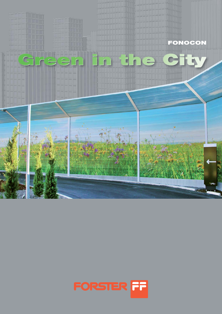

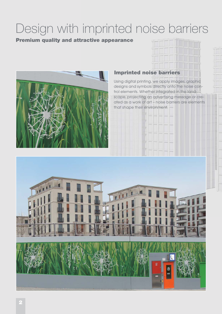# Design with imprinted noise barriers

### Premium quality and attractive appearance



## Imprinted noise barriers

Using digital printing, we apply images, graphic designs and symbols directly onto the noise control elements. Whether integrated in the landscape, projecting an advertising message or created as a work of art – noise barriers are elements that shape their environment.

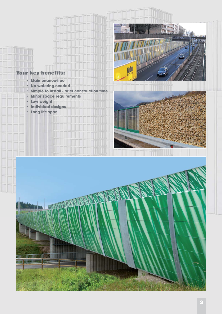

## Your key benefits:

- **Maintenance-free**
- **No watering needed**
- **Simple to install brief construction time**
- **Minor space requirements**
- **Low weight**
- **Individual designs**
- **Long life span**